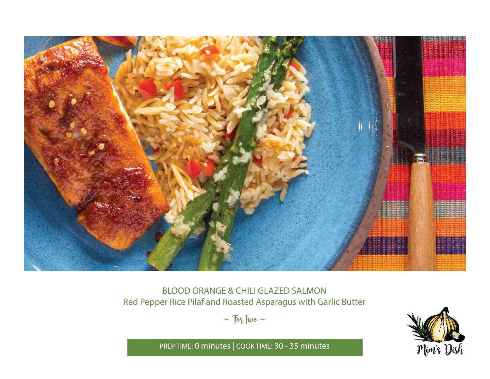

# BLOOD ORANGE & CHILI GLAZED SALMON Red Pepper Rice Pilaf and Roasted Asparagus with Garlic Butter

 $\sim$   $70\%$  Two  $\sim$ 



PREP TIME: **0 minutes** | COOK TIME: **30 - 35 minutes**